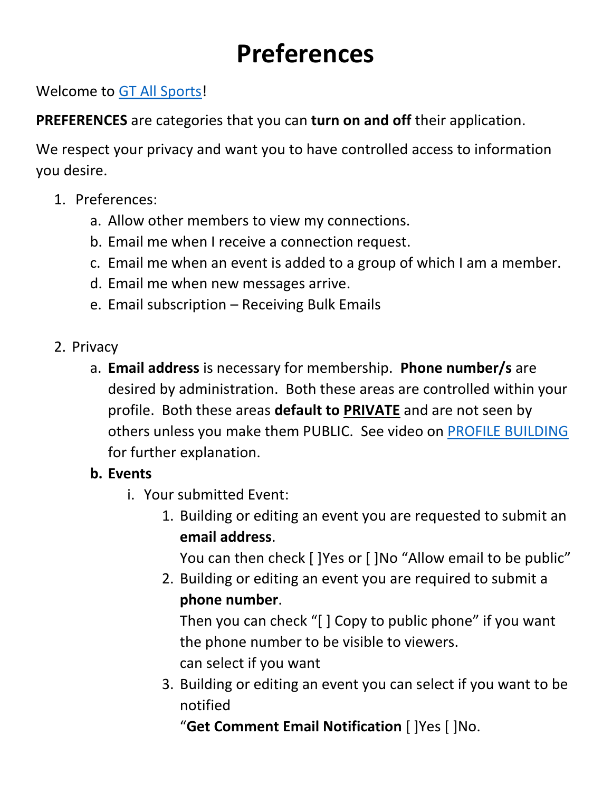## **Preferences**

Welcome to [GT All Sports!](http://www.gtallsports.info/)

**PREFERENCES** are categories that you can **turn on and off** their application.

We respect your privacy and want you to have controlled access to information you desire.

- 1. Preferences:
	- a. Allow other members to view my connections.
	- b. Email me when I receive a connection request.
	- c. Email me when an event is added to a group of which I am a member.
	- d. Email me when new messages arrive.
	- e. Email subscription Receiving Bulk Emails
- 2. Privacy
	- a. **Email address** is necessary for membership. **Phone number/s** are desired by administration. Both these areas are controlled within your profile. Both these areas **default to PRIVATE** and are not seen by others unless you make them PUBLIC. See video on [PROFILE BUILDING](http://www.gtallsports.info/media/resource_mgr/690eb7a3ca9ac4e188f4f1c6da8ef95c.pdf) for further explanation.
	- **b. Events**
		- i. Your submitted Event:
			- 1. Building or editing an event you are requested to submit an **email address**.

You can then check [ ]Yes or [ ]No "Allow email to be public"

2. Building or editing an event you are required to submit a **phone number**.

Then you can check "[ ] Copy to public phone" if you want the phone number to be visible to viewers. can select if you want

3. Building or editing an event you can select if you want to be notified

"**Get Comment Email Notification** [ ]Yes [ ]No.